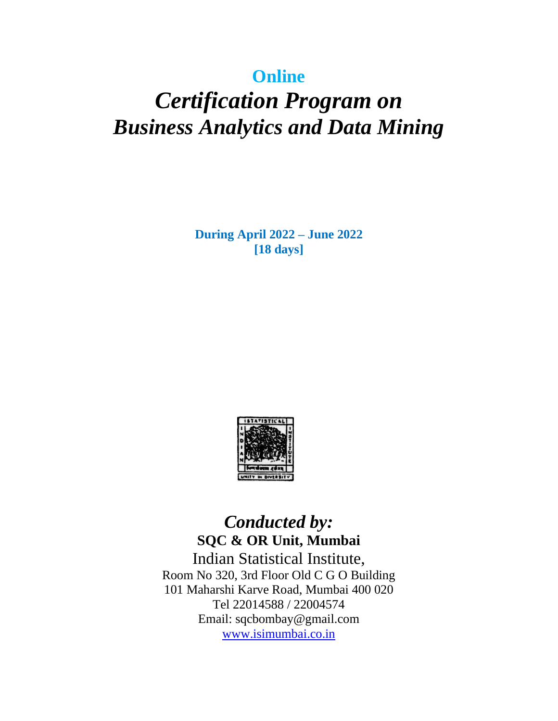# **Online**

# *Certification Program on Business Analytics and Data Mining*

**During April 2022 – June 2022 [18 days]**



*Conducted by:* **SQC & OR Unit, Mumbai**  Indian Statistical Institute, Room No 320, 3rd Floor Old C G O Building 101 Maharshi Karve Road, Mumbai 400 020 Tel 22014588 / 22004574 Email: sqcbombay@gmail.com [www.isimumbai.co.in](http://www.isimumbai.co.in/)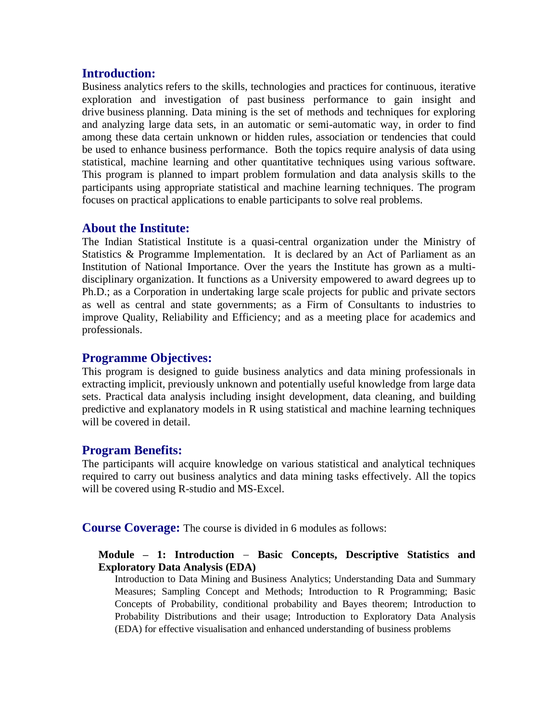## **Introduction:**

Business analytics refers to the skills, technologies and practices for continuous, iterative exploration and investigation of past business performance to gain insight and drive business planning. Data mining is the set of methods and techniques for exploring and analyzing large data sets, in an automatic or semi-automatic way, in order to find among these data certain unknown or hidden rules, association or tendencies that could be used to enhance business performance. Both the topics require analysis of data using statistical, machine learning and other quantitative techniques using various software. This program is planned to impart problem formulation and data analysis skills to the participants using appropriate statistical and machine learning techniques. The program focuses on practical applications to enable participants to solve real problems.

### **About the Institute:**

The Indian Statistical Institute is a quasi-central organization under the Ministry of Statistics & Programme Implementation. It is declared by an Act of Parliament as an Institution of National Importance. Over the years the Institute has grown as a multidisciplinary organization. It functions as a University empowered to award degrees up to Ph.D.; as a Corporation in undertaking large scale projects for public and private sectors as well as central and state governments; as a Firm of Consultants to industries to improve Quality, Reliability and Efficiency; and as a meeting place for academics and professionals.

## **Programme Objectives:**

This program is designed to guide business analytics and data mining professionals in extracting implicit, previously unknown and potentially useful knowledge from large data sets. Practical data analysis including insight development, data cleaning, and building predictive and explanatory models in R using statistical and machine learning techniques will be covered in detail.

## **Program Benefits:**

The participants will acquire knowledge on various statistical and analytical techniques required to carry out business analytics and data mining tasks effectively. All the topics will be covered using R-studio and MS-Excel.

**Course Coverage:** The course is divided in 6 modules as follows:

### **Module – 1: Introduction** − **Basic Concepts, Descriptive Statistics and Exploratory Data Analysis (EDA)**

Introduction to Data Mining and Business Analytics; Understanding Data and Summary Measures; Sampling Concept and Methods; Introduction to R Programming; Basic Concepts of Probability, conditional probability and Bayes theorem; Introduction to Probability Distributions and their usage; Introduction to Exploratory Data Analysis (EDA) for effective visualisation and enhanced understanding of business problems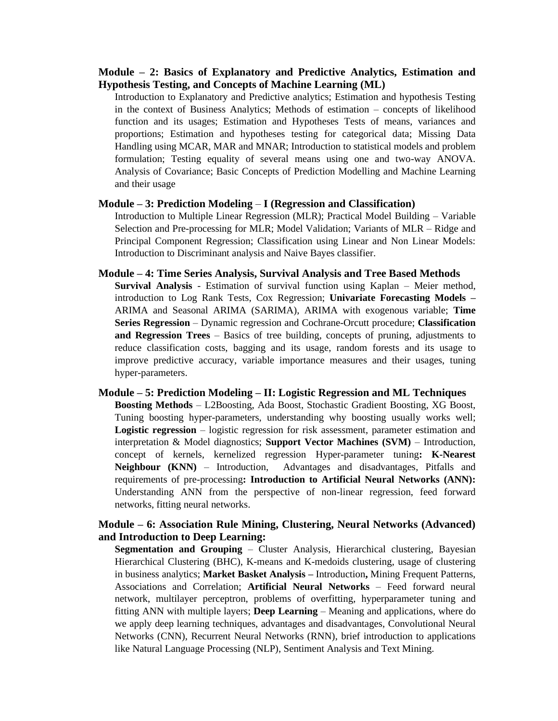#### **Module – 2: Basics of Explanatory and Predictive Analytics, Estimation and Hypothesis Testing, and Concepts of Machine Learning (ML)**

Introduction to Explanatory and Predictive analytics; Estimation and hypothesis Testing in the context of Business Analytics; Methods of estimation – concepts of likelihood function and its usages; Estimation and Hypotheses Tests of means, variances and proportions; Estimation and hypotheses testing for categorical data; Missing Data Handling using MCAR, MAR and MNAR; Introduction to statistical models and problem formulation; Testing equality of several means using one and two-way ANOVA. Analysis of Covariance; Basic Concepts of Prediction Modelling and Machine Learning and their usage

#### **Module – 3: Prediction Modeling** – **I (Regression and Classification)**

Introduction to Multiple Linear Regression (MLR); Practical Model Building – Variable Selection and Pre-processing for MLR; Model Validation; Variants of MLR – Ridge and Principal Component Regression; Classification using Linear and Non Linear Models: Introduction to Discriminant analysis and Naive Bayes classifier.

#### **Module – 4: Time Series Analysis, Survival Analysis and Tree Based Methods**

**Survival Analysis** - Estimation of survival function using Kaplan – Meier method, introduction to Log Rank Tests, Cox Regression; **Univariate Forecasting Models –** ARIMA and Seasonal ARIMA (SARIMA), ARIMA with exogenous variable; **Time Series Regression** – Dynamic regression and Cochrane-Orcutt procedure; **Classification and Regression Trees** – Basics of tree building, concepts of pruning, adjustments to reduce classification costs, bagging and its usage, random forests and its usage to improve predictive accuracy, variable importance measures and their usages, tuning hyper-parameters.

#### **Module – 5: Prediction Modeling – II: Logistic Regression and ML Techniques Boosting Methods** – L2Boosting, Ada Boost, Stochastic Gradient Boosting, XG Boost, Tuning boosting hyper-parameters, understanding why boosting usually works well; **Logistic regression** – logistic regression for risk assessment, parameter estimation and interpretation & Model diagnostics; **Support Vector Machines (SVM)** – Introduction, concept of kernels, kernelized regression Hyper-parameter tuning**: K-Nearest Neighbour (KNN)** – Introduction, Advantages and disadvantages, Pitfalls and requirements of pre-processing**: Introduction to Artificial Neural Networks (ANN):** Understanding ANN from the perspective of non-linear regression, feed forward networks, fitting neural networks.

#### **Module – 6: Association Rule Mining, Clustering, Neural Networks (Advanced) and Introduction to Deep Learning:**

**Segmentation and Grouping** – Cluster Analysis, Hierarchical clustering, Bayesian Hierarchical Clustering (BHC), K-means and K-medoids clustering, usage of clustering in business analytics; **Market Basket Analysis –** Introduction**,** Mining Frequent Patterns, Associations and Correlation; **Artificial Neural Networks** – Feed forward neural network, multilayer perceptron, problems of overfitting, hyperparameter tuning and fitting ANN with multiple layers; **Deep Learning** – Meaning and applications, where do we apply deep learning techniques, advantages and disadvantages, Convolutional Neural Networks (CNN), Recurrent Neural Networks (RNN), brief introduction to applications like Natural Language Processing (NLP), Sentiment Analysis and Text Mining.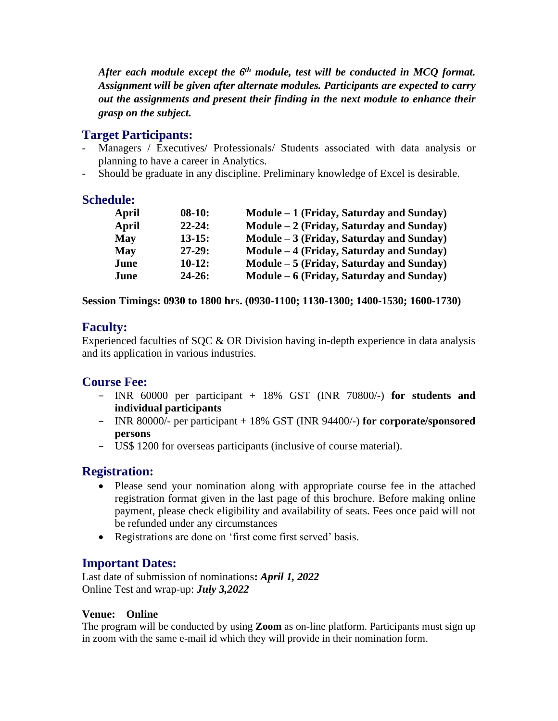After each module except the 6<sup>th</sup> module, test will be conducted in MCQ format. *Assignment will be given after alternate modules. Participants are expected to carry out the assignments and present their finding in the next module to enhance their grasp on the subject.*

## **Target Participants:**

- Managers / Executives/ Professionals/ Students associated with data analysis or planning to have a career in Analytics.
- Should be graduate in any discipline. Preliminary knowledge of Excel is desirable.

## **Schedule:**

| April | $08-10:$   | $Module - 1$ (Friday, Saturday and Sunday) |
|-------|------------|--------------------------------------------|
| April | $22 - 24:$ | $Module - 2$ (Friday, Saturday and Sunday) |
| May   | $13-15:$   | $Module - 3$ (Friday, Saturday and Sunday) |
| May   | $27-29:$   | Module – 4 (Friday, Saturday and Sunday)   |
| June  | $10-12:$   | $Module - 5$ (Friday, Saturday and Sunday) |
| June  | $24 - 26:$ | Module – 6 (Friday, Saturday and Sunday)   |

### **Session Timings: 0930 to 1800 hr**s**. (0930-1100; 1130-1300; 1400-1530; 1600-1730)**

## **Faculty:**

Experienced faculties of SQC & OR Division having in-depth experience in data analysis and its application in various industries.

## **Course Fee:**

- − INR 60000 per participant + 18% GST (INR 70800/-) **for students and individual participants**
- − INR 80000/- per participant + 18% GST (INR 94400/-) **for corporate/sponsored persons**
- − US\$ 1200 for overseas participants (inclusive of course material).

## **Registration:**

- Please send your nomination along with appropriate course fee in the attached registration format given in the last page of this brochure. Before making online payment, please check eligibility and availability of seats. Fees once paid will not be refunded under any circumstances
- Registrations are done on 'first come first served' basis.

## **Important Dates:**

Last date of submission of nominations**:** *April 1, 2022* Online Test and wrap-up: *July 3,2022* 

## **Venue: Online**

The program will be conducted by using **Zoom** as on-line platform. Participants must sign up in zoom with the same e-mail id which they will provide in their nomination form.